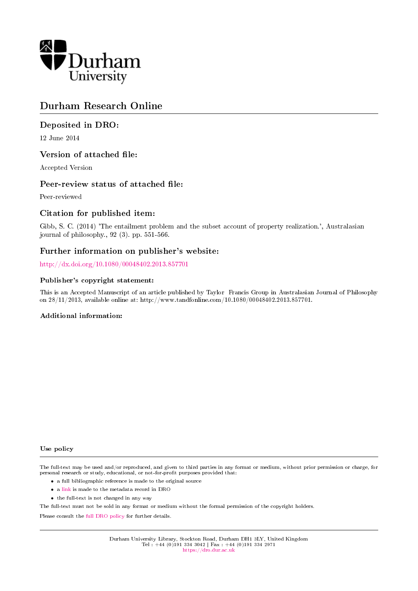

# Durham Research Online

# Deposited in DRO:

12 June 2014

## Version of attached file:

Accepted Version

#### Peer-review status of attached file:

Peer-reviewed

# Citation for published item:

Gibb, S. C. (2014) 'The entailment problem and the subset account of property realization.', Australasian journal of philosophy., 92 (3). pp. 551-566.

## Further information on publisher's website:

<http://dx.doi.org/10.1080/00048402.2013.857701>

#### Publisher's copyright statement:

This is an Accepted Manuscript of an article published by Taylor Francis Group in Australasian Journal of Philosophy on 28/11/2013, available online at: http://www.tandfonline.com/10.1080/00048402.2013.857701.

#### Additional information:

Use policy

The full-text may be used and/or reproduced, and given to third parties in any format or medium, without prior permission or charge, for personal research or study, educational, or not-for-profit purposes provided that:

- a full bibliographic reference is made to the original source
- a [link](http://dro.dur.ac.uk/12654/) is made to the metadata record in DRO
- the full-text is not changed in any way

The full-text must not be sold in any format or medium without the formal permission of the copyright holders.

Please consult the [full DRO policy](https://dro.dur.ac.uk/policies/usepolicy.pdf) for further details.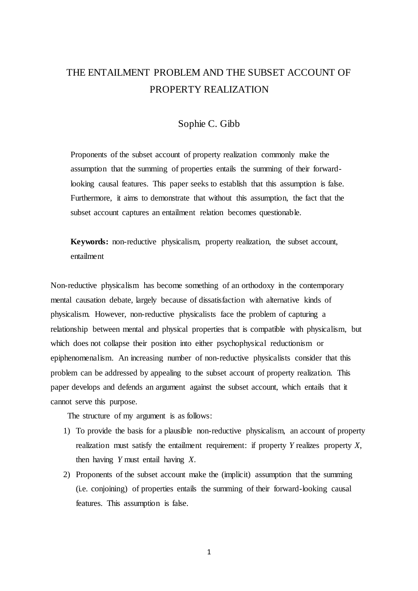# THE ENTAILMENT PROBLEM AND THE SUBSET ACCOUNT OF PROPERTY REALIZATION

# Sophie C. Gibb

Proponents of the subset account of property realization commonly make the assumption that the summing of properties entails the summing of their forwardlooking causal features. This paper seeks to establish that this assumption is false. Furthermore, it aims to demonstrate that without this assumption, the fact that the subset account captures an entailment relation becomes questionable.

**Keywords:** non-reductive physicalism, property realization, the subset account, entailment

Non-reductive physicalism has become something of an orthodoxy in the contemporary mental causation debate, largely because of dissatisfaction with alternative kinds of physicalism. However, non-reductive physicalists face the problem of capturing a relationship between mental and physical properties that is compatible with physicalism, but which does not collapse their position into either psychophysical reductionism or epiphenomenalism. An increasing number of non-reductive physicalists consider that this problem can be addressed by appealing to the subset account of property realization. This paper develops and defends an argument against the subset account, which entails that it cannot serve this purpose.

The structure of my argument is as follows:

- 1) To provide the basis for a plausible non-reductive physicalism, an account of property realization must satisfy the entailment requirement: if property *Y* realizes property *X*, then having *Y* must entail having *X*.
- 2) Proponents of the subset account make the (implicit) assumption that the summing (i.e. conjoining) of properties entails the summing of their forward-looking causal features. This assumption is false.

1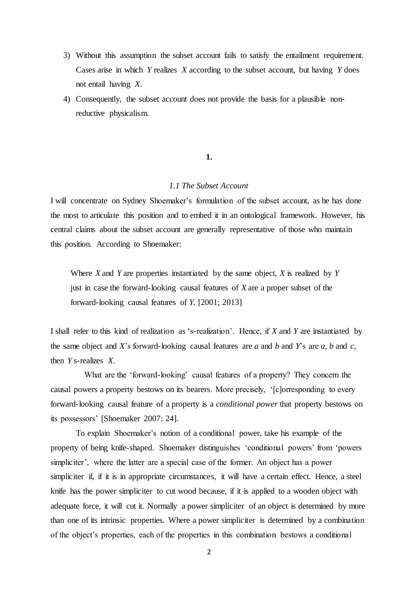- 3) Without this assumption the subset account fails to satisfy the entailment requirement. Cases arise in which *Y* realizes *X* according to the subset account, but having *Y* does not entail having *X*.
- 4) Consequently, the subset account does not provide the basis for a plausible nonreductive physicalism.

#### **1.**

#### *1.1 The Subset Account*

I will concentrate on Sydney Shoemaker's formulation of the subset account, as he has done the most to articulate this position and to embed it in an ontological framework. However, his central claims about the subset account are generally representative of those who maintain this position. According to Shoemaker:

Where *X* and *Y* are properties instantiated by the same object, *X* is realized by *Y* just in case the forward-looking causal features of *X* are a proper subset of the forward-looking causal features of *Y*. [2001; 2013]

I shall refer to this kind of realization as 's-realization'. Hence, if *X* and *Y* are instantiated by the same object and  $X$ 's forward-looking causal features are  $a$  and  $b$  and  $Y$ 's are  $a$ ,  $b$  and  $c$ , then *Y* s-realizes *X*.

What are the 'forward-looking' causal features of a property? They concern the causal powers a property bestows on its bearers. More precisely, '[c]orresponding to every forward-looking causal feature of a property is a *conditional power* that property bestows on its possessors' [Shoemaker 2007: 24].

To explain Shoemaker's notion of a conditional power, take his example of the property of being knife-shaped. Shoemaker distinguishes 'conditional powers' from 'powers simpliciter', where the latter are a special case of the former. An object has a power simpliciter if, if it is in appropriate circumstances, it will have a certain effect. Hence, a steel knife has the power simpliciter to cut wood because, if it is applied to a wooden object with adequate force, it will cut it. Normally a power simpliciter of an object is determined by more than one of its intrinsic properties. Where a power simpliciter is determined by a combination of the object's properties, each of the properties in this combination bestows a conditional

2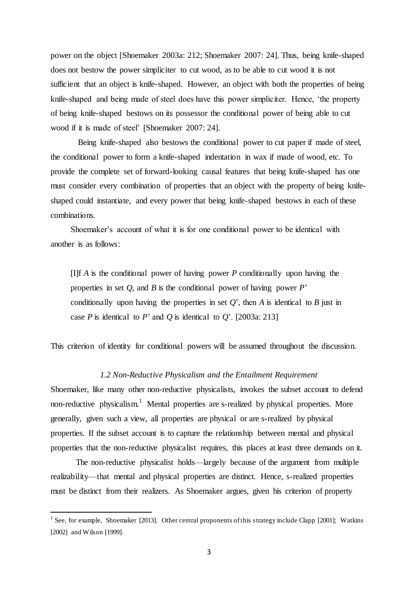power on the object [Shoemaker 2003a: 212; Shoemaker 2007: 24]. Thus, being knife-shaped does not bestow the power simpliciter to cut wood, as to be able to cut wood it is not sufficient that an object is knife-shaped. However, an object with both the properties of being knife-shaped and being made of steel does have this power simpliciter. Hence, 'the property of being knife-shaped bestows on its possessor the conditional power of being able to cut wood if it is made of steel' [Shoemaker 2007: 24].

Being knife-shaped also bestows the conditional power to cut paper if made of steel, the conditional power to form a knife-shaped indentation in wax if made of wood, etc. To provide the complete set of forward-looking causal features that being knife-shaped has one must consider every combination of properties that an object with the property of being knifeshaped could instantiate, and every power that being knife-shaped bestows in each of these combinations.

Shoemaker's account of what it is for one conditional power to be identical with another is as follows:

[I]f *A* is the conditional power of having power *P* conditionally upon having the properties in set *Q*, and *B* is the conditional power of having power *P*' conditionally upon having the properties in set  $Q'$ , then  $A$  is identical to  $B$  just in case *P* is identical to *P*' and *Q* is identical to *Q*'. [2003a: 213]

This criterion of identity for conditional powers will be assumed throughout the discussion.

#### *1.2 Non-Reductive Physicalism and the Entailment Requirement*

Shoemaker, like many other non-reductive physicalists, invokes the subset account to defend non-reductive physicalism.<sup>1</sup> Mental properties are s-realized by physical properties. More generally, given such a view, all properties are physical or are s-realized by physical properties. If the subset account is to capture the relationship between mental and physical properties that the non-reductive physicalist requires, this places at least three demands on it.

The non-reductive physicalist holds—largely because of the argument from multiple realizability—that mental and physical properties are distinct. Hence, s-realized properties must be distinct from their realizers. As Shoemaker argues, given his criterion of property

<sup>&</sup>lt;sup>1</sup> See, for example, Shoemaker [2013]. Other central proponents of this strategy include Clapp [2001]; Watkins [2002] and Wilson [1999].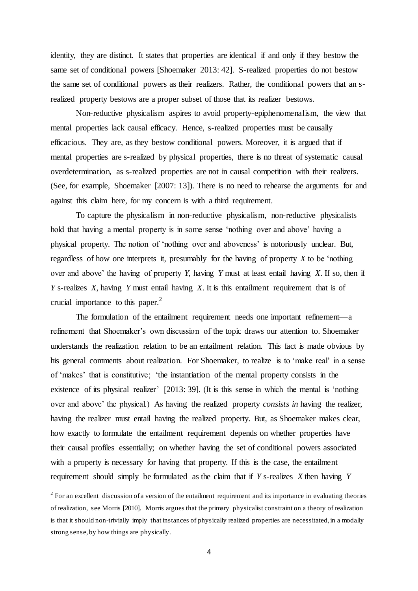identity, they are distinct. It states that properties are identical if and only if they bestow the same set of conditional powers [Shoemaker 2013: 42]. S-realized properties do not bestow the same set of conditional powers as their realizers. Rather, the conditional powers that an srealized property bestows are a proper subset of those that its realizer bestows.

Non-reductive physicalism aspires to avoid property-epiphenomenalism, the view that mental properties lack causal efficacy. Hence, s-realized properties must be causally efficacious. They are, as they bestow conditional powers. Moreover, it is argued that if mental properties are s-realized by physical properties, there is no threat of systematic causal overdetermination, as s-realized properties are not in causal competition with their realizers. (See, for example, Shoemaker [2007: 13]). There is no need to rehearse the arguments for and against this claim here, for my concern is with a third requirement.

To capture the physicalism in non-reductive physicalism, non-reductive physicalists hold that having a mental property is in some sense 'nothing over and above' having a physical property. The notion of 'nothing over and aboveness' is notoriously unclear. But, regardless of how one interprets it, presumably for the having of property *X* to be 'nothing over and above' the having of property *Y*, having *Y* must at least entail having *X*. If so, then if *Y* s-realizes *X*, having *Y* must entail having *X*. It is this entailment requirement that is of crucial importance to this paper. $<sup>2</sup>$ </sup>

The formulation of the entailment requirement needs one important refinement—a refinement that Shoemaker's own discussion of the topic draws our attention to. Shoemaker understands the realization relation to be an entailment relation. This fact is made obvious by his general comments about realization. For Shoemaker, to realize is to 'make real' in a sense of 'makes' that is constitutive; 'the instantiation of the mental property consists in the existence of its physical realizer' [2013: 39]. (It is this sense in which the mental is 'nothing over and above' the physical.) As having the realized property *consists in* having the realizer, having the realizer must entail having the realized property. But, as Shoemaker makes clear, how exactly to formulate the entailment requirement depends on whether properties have their causal profiles essentially; on whether having the set of conditional powers associated with a property is necessary for having that property. If this is the case, the entailment requirement should simply be formulated as the claim that if *Y* s-realizes *X* then having *Y*

<sup>&</sup>lt;sup>2</sup> For an excellent discussion of a version of the entailment requirement and its importance in evaluating theories of realization, see Morris [2010]. Morris argues that the primary physicalist constraint on a theory of realization is that it should non-trivially imply that instances of physically realized properties are necessitated, in a modally strong sense, by how things are physically.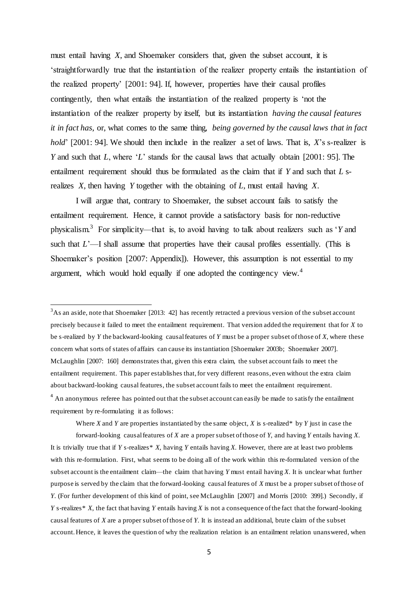must entail having *X*, and Shoemaker considers that, given the subset account, it is 'straightforwardly true that the instantiation of the realizer property entails the instantiation of the realized property' [2001: 94]. If, however, properties have their causal profiles contingently, then what entails the instantiation of the realized property is 'not the instantiation of the realizer property by itself, but its instantiation *having the causal features it in fact has*, or, what comes to the same thing, *being governed by the causal laws that in fact hold*' [2001: 94]. We should then include in the realizer a set of laws. That is, *X*'s s-realizer is *Y* and such that *L*, where '*L*' stands for the causal laws that actually obtain [2001: 95]. The entailment requirement should thus be formulated as the claim that if *Y* and such that *L* srealizes *X*, then having *Y* together with the obtaining of *L*, must entail having *X*.

I will argue that, contrary to Shoemaker, the subset account fails to satisfy the entailment requirement. Hence, it cannot provide a satisfactory basis for non-reductive physicalism.<sup>3</sup> For simplicity—that is, to avoid having to talk about realizers such as '*Y* and such that *L*'—I shall assume that properties have their causal profiles essentially. (This is Shoemaker's position [2007: Appendix]). However, this assumption is not essential to my argument, which would hold equally if one adopted the contingency view.<sup>4</sup>

 $\overline{\phantom{a}}$ <sup>3</sup>As an aside, note that Shoemaker [2013: 42] has recently retracted a previous version of the subset account precisely because it failed to meet the entailment requirement. That version added the requirement that for *X* to be s-realized by *Y* the backward-looking causal features of *Y* must be a proper subset of those of *X*, where these concern what sorts of states of affairs can cause its instantiation [Shoemaker 2003b; Shoemaker 2007]. McLaughlin [2007: 160] demonstrates that, given this extra claim, the subset account fails to meet the entailment requirement. This paper establishes that, for very different reasons, even without the extra claim about backward-looking causal features, the subset account fails to meet the entailment requirement.

<sup>&</sup>lt;sup>4</sup> An anonymous referee has pointed out that the subset account can easily be made to satisfy the entailment requirement by re-formulating it as follows:

Where *X* and *Y* are properties instantiated by the same object, *X* is s-realized\* by *Y* just in case the

forward-looking causal features of *X* are a proper subset of those of *Y*, and having *Y* entails having *X*. It is trivially true that if *Y* s-realizes\* *X*, having *Y* entails having *X*. However, there are at least two problems with this re-formulation. First, what seems to be doing all of the work within this re-formulated version of the subset account is the entailment claim—the claim that having *Y* must entail having *X*. It is unclear what further purpose is served by the claim that the forward-looking causal features of *X* must be a proper subset of those of *Y*. (For further development of this kind of point, see McLaughlin [2007] and Morris [2010: 399].) Secondly, if *Y* s-realizes\* *X*, the fact that having *Y* entails having *X* is not a consequence of the fact that the forward-looking causal features of *X* are a proper subset of those of *Y*. It is instead an additional, brute claim of the subset account. Hence, it leaves the question of why the realization relation is an entailment relation unanswered, when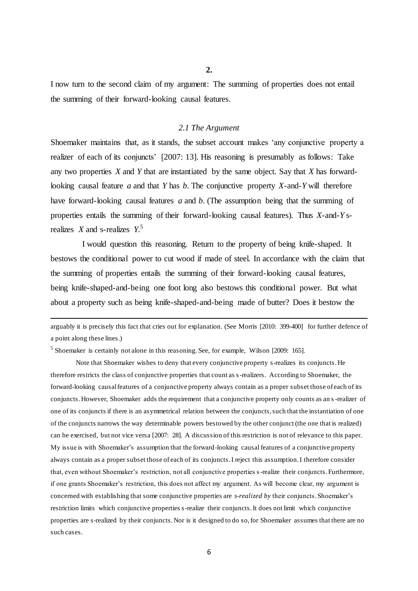I now turn to the second claim of my argument: The summing of properties does not entail the summing of their forward-looking causal features.

#### *2.1 The Argument*

Shoemaker maintains that, as it stands, the subset account makes 'any conjunctive property a realizer of each of its conjuncts' [2007: 13]. His reasoning is presumably as follows: Take any two properties *X* and *Y* that are instantiated by the same object. Say that *X* has forwardlooking causal feature *a* and that *Y* has *b*. The conjunctive property *X*-and-*Y* will therefore have forward-looking causal features *a* and *b*. (The assumption being that the summing of properties entails the summing of their forward-looking causal features). Thus *X*-and-*Y* srealizes *X* and s-realizes *Y*. 5

I would question this reasoning. Return to the property of being knife-shaped. It bestows the conditional power to cut wood if made of steel. In accordance with the claim that the summing of properties entails the summing of their forward-looking causal features, being knife-shaped-and-being one foot long also bestows this conditional power. But what about a property such as being knife-shaped-and-being made of butter? Does it bestow the

<sup>5</sup> Shoemaker is certainly not alone in this reasoning. See, for example, Wilson [2009: 165].

 $\overline{a}$ 

Note that Shoemaker wishes to deny that every conjunctive property s-realizes its conjuncts. He therefore restricts the class of conjunctive properties that count as s-realizers. According to Shoemaker, the forward-looking causal features of a conjunctive property always contain as a proper subset those of each of its conjuncts. However, Shoemaker adds the requirement that a conjunctive property only counts as an s-realizer of one of its conjuncts if there is an asymmetrical relation between the conjuncts, such that the instantiation of one of the conjuncts narrows the way determinable powers bestowed by the other conjunct (the one that is realized) can be exercised, but not vice versa [2007: 28]. A discussion of this restriction is not of relevance to this paper. My issue is with Shoemaker's assumption that the forward-looking causal features of a conjunctive property always contain as a proper subset those of each of its conjuncts. I reject this assumption. I therefore consider that, even without Shoemaker's restriction, not all conjunctive properties s-realize their conjuncts. Furthermore, if one grants Shoemaker's restriction, this does not affect my argument. As will become clear, my argument is concerned with establishing that some conjunctive properties are *s-realized by* their conjuncts. Shoemaker's restriction limits which conjunctive properties s-realize their conjuncts. It does not limit which conjunctive properties are s-realized by their conjuncts. Nor is it designed to do so, for Shoemaker assumes that there are no such cases.

**2.** 

arguably it is precisely this fact that cries out for explanation. (See Morris [2010: 399-400] for further defence of a point along these lines.)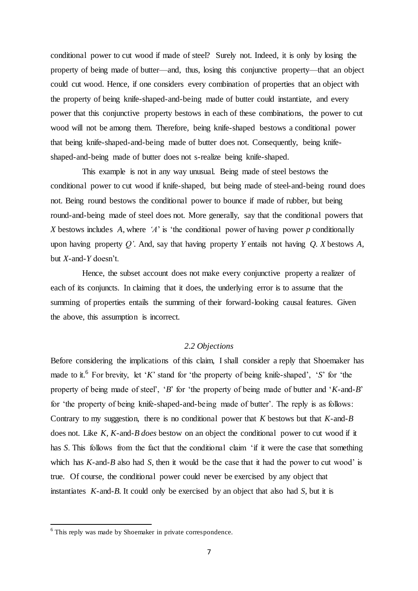conditional power to cut wood if made of steel? Surely not. Indeed, it is only by losing the property of being made of butter—and, thus, losing this conjunctive property—that an object could cut wood. Hence, if one considers every combination of properties that an object with the property of being knife-shaped-and-being made of butter could instantiate, and every power that this conjunctive property bestows in each of these combinations, the power to cut wood will not be among them. Therefore, being knife-shaped bestows a conditional power that being knife-shaped-and-being made of butter does not. Consequently, being knifeshaped-and-being made of butter does not s-realize being knife-shaped.

This example is not in any way unusual. Being made of steel bestows the conditional power to cut wood if knife-shaped, but being made of steel-and-being round does not. Being round bestows the conditional power to bounce if made of rubber, but being round-and-being made of steel does not. More generally, say that the conditional powers that *X* bestows includes *A*, where *'A*' is 'the conditional power of having power *p* conditionally upon having property *Q'*. And, say that having property *Y* entails not having *Q*. *X* bestows *A*, but *X*-and-*Y* doesn't.

Hence, the subset account does not make every conjunctive property a realizer of each of its conjuncts. In claiming that it does, the underlying error is to assume that the summing of properties entails the summing of their forward-looking causal features. Given the above, this assumption is incorrect.

#### *2.2 Objections*

Before considering the implications of this claim, I shall consider a reply that Shoemaker has made to it.<sup>6</sup> For brevity, let '*K*' stand for 'the property of being knife-shaped', '*S*' for 'the property of being made of steel', '*B*' for 'the property of being made of butter and '*K*-and-*B*' for 'the property of being knife-shaped-and-being made of butter'. The reply is as follows: Contrary to my suggestion, there is no conditional power that *K* bestows but that *K*-and-*B* does not. Like *K*, *K*-and-*B does* bestow on an object the conditional power to cut wood if it has *S*. This follows from the fact that the conditional claim 'if it were the case that something which has *K*-and-*B* also had *S*, then it would be the case that it had the power to cut wood' is true. Of course, the conditional power could never be exercised by any object that instantiates *K*-and-*B*. It could only be exercised by an object that also had *S*, but it is

<sup>&</sup>lt;sup>6</sup> This reply was made by Shoemaker in private correspondence.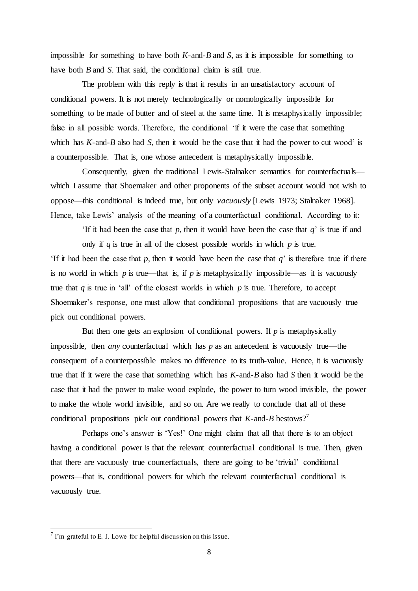impossible for something to have both *K*-and-*B* and *S*, as it is impossible for something to have both *B* and *S*. That said, the conditional claim is still true.

The problem with this reply is that it results in an unsatisfactory account of conditional powers. It is not merely technologically or nomologically impossible for something to be made of butter and of steel at the same time. It is metaphysically impossible; false in all possible words. Therefore, the conditional 'if it were the case that something which has *K*-and-*B* also had *S*, then it would be the case that it had the power to cut wood' is a counterpossible. That is, one whose antecedent is metaphysically impossible.

Consequently, given the traditional Lewis-Stalnaker semantics for counterfactuals which I assume that Shoemaker and other proponents of the subset account would not wish to oppose—this conditional is indeed true, but only *vacuously* [Lewis 1973; Stalnaker 1968]. Hence, take Lewis' analysis of the meaning of a counterfactual conditional. According to it:

'If it had been the case that  $p$ , then it would have been the case that  $q'$  is true if and only if  $q$  is true in all of the closest possible worlds in which  $p$  is true. 'If it had been the case that  $p$ , then it would have been the case that  $q'$  is therefore true if there is no world in which  $p$  is true—that is, if  $p$  is metaphysically impossible—as it is vacuously true that  $q$  is true in 'all' of the closest worlds in which  $p$  is true. Therefore, to accept Shoemaker's response, one must allow that conditional propositions that are vacuously true

pick out conditional powers.

But then one gets an explosion of conditional powers. If  $p$  is metaphysically impossible, then *any* counterfactual which has *p* as an antecedent is vacuously true—the consequent of a counterpossible makes no difference to its truth-value. Hence, it is vacuously true that if it were the case that something which has *K*-and-*B* also had *S* then it would be the case that it had the power to make wood explode, the power to turn wood invisible, the power to make the whole world invisible, and so on. Are we really to conclude that all of these conditional propositions pick out conditional powers that  $K$ -and- $B$  bestows?<sup>7</sup>

Perhaps one's answer is 'Yes!' One might claim that all that there is to an object having a conditional power is that the relevant counterfactual conditional is true. Then, given that there are vacuously true counterfactuals, there are going to be 'trivial' conditional powers—that is, conditional powers for which the relevant counterfactual conditional is vacuously true.

<sup>&</sup>lt;sup>7</sup> I'm grateful to E. J. Lowe for helpful discussion on this issue.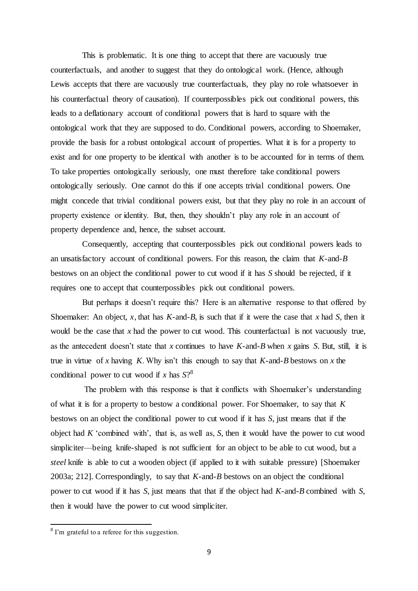This is problematic. It is one thing to accept that there are vacuously true counterfactuals, and another to suggest that they do ontological work. (Hence, although Lewis accepts that there are vacuously true counterfactuals, they play no role whatsoever in his counterfactual theory of causation). If counterpossibles pick out conditional powers, this leads to a deflationary account of conditional powers that is hard to square with the ontological work that they are supposed to do. Conditional powers, according to Shoemaker, provide the basis for a robust ontological account of properties. What it is for a property to exist and for one property to be identical with another is to be accounted for in terms of them. To take properties ontologically seriously, one must therefore take conditional powers ontologically seriously. One cannot do this if one accepts trivial conditional powers. One might concede that trivial conditional powers exist, but that they play no role in an account of property existence or identity. But, then, they shouldn't play any role in an account of property dependence and, hence, the subset account.

Consequently, accepting that counterpossibles pick out conditional powers leads to an unsatisfactory account of conditional powers. For this reason, the claim that *K*-and-*B* bestows on an object the conditional power to cut wood if it has *S* should be rejected, if it requires one to accept that counterpossibles pick out conditional powers.

But perhaps it doesn't require this? Here is an alternative response to that offered by Shoemaker: An object, *x*, that has *K*-and-*B*, is such that if it were the case that *x* had *S*, then it would be the case that *x* had the power to cut wood. This counterfactual is not vacuously true, as the antecedent doesn't state that *x* continues to have *K*-and-*B* when *x* gains *S*. But, still, it is true in virtue of *x* having *K*. Why isn't this enough to say that *K*-and-*B* bestows on *x* the conditional power to cut wood if *x* has *S*? 8

The problem with this response is that it conflicts with Shoemaker's understanding of what it is for a property to bestow a conditional power. For Shoemaker, to say that *K* bestows on an object the conditional power to cut wood if it has *S*, just means that if the object had *K* 'combined with', that is, as well as, *S*, then it would have the power to cut wood simpliciter—being knife-shaped is not sufficient for an object to be able to cut wood, but a *steel* knife is able to cut a wooden object (if applied to it with suitable pressure) [Shoemaker 2003a; 212]. Correspondingly, to say that *K*-and-*B* bestows on an object the conditional power to cut wood if it has *S*, just means that that if the object had *K*-and-*B* combined with *S*, then it would have the power to cut wood simpliciter.

<sup>&</sup>lt;sup>8</sup> I'm grateful to a referee for this suggestion.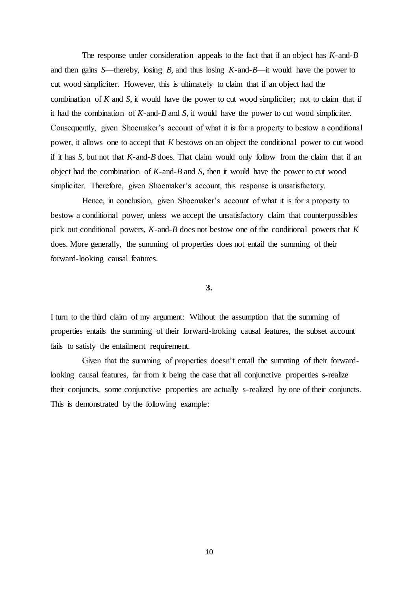The response under consideration appeals to the fact that if an object has *K*-and-*B* and then gains *S*—thereby, losing *B*, and thus losing *K*-and-*B*—it would have the power to cut wood simpliciter. However, this is ultimately to claim that if an object had the combination of *K* and *S*, it would have the power to cut wood simpliciter; not to claim that if it had the combination of *K*-and-*B* and *S*, it would have the power to cut wood simpliciter. Consequently, given Shoemaker's account of what it is for a property to bestow a conditional power, it allows one to accept that *K* bestows on an object the conditional power to cut wood if it has *S*, but not that *K*-and-*B* does. That claim would only follow from the claim that if an object had the combination of *K*-and-*B* and *S*, then it would have the power to cut wood simpliciter. Therefore, given Shoemaker's account, this response is unsatisfactory.

Hence, in conclusion, given Shoemaker's account of what it is for a property to bestow a conditional power, unless we accept the unsatisfactory claim that counterpossibles pick out conditional powers, *K*-and-*B* does not bestow one of the conditional powers that *K* does. More generally, the summing of properties does not entail the summing of their forward-looking causal features.

## **3.**

I turn to the third claim of my argument: Without the assumption that the summing of properties entails the summing of their forward-looking causal features, the subset account fails to satisfy the entailment requirement.

Given that the summing of properties doesn't entail the summing of their forwardlooking causal features, far from it being the case that all conjunctive properties s-realize their conjuncts, some conjunctive properties are actually s-realized by one of their conjuncts. This is demonstrated by the following example: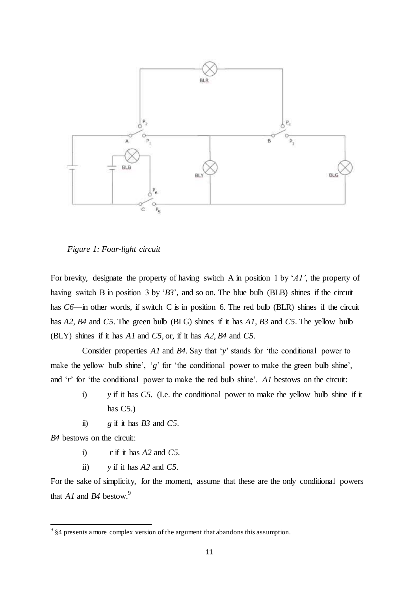

 *Figure 1: Four-light circuit*

For brevity, designate the property of having switch A in position 1 by '*A1'*, the property of having switch B in position 3 by '*B3*', and so on. The blue bulb (BLB) shines if the circuit has *C6*—in other words, if switch C is in position 6. The red bulb (BLR) shines if the circuit has *A2*, *B4* and *C5*. The green bulb (BLG) shines if it has *A1*, *B3* and *C5*. The yellow bulb (BLY) shines if it has *A1* and *C5*, or, if it has *A2*, *B4* and *C5*.

Consider properties *A1* and *B4*. Say that '*y*' stands for 'the conditional power to make the yellow bulb shine', '*g*' for 'the conditional power to make the green bulb shine', and '*r*' for 'the conditional power to make the red bulb shine'. *A1* bestows on the circuit:

- i) *y* if it has *C5.* (I.e. the conditional power to make the yellow bulb shine if it has C5.)
- ii) *g* if it has *B3* and *C5*.

*B4* bestows on the circuit:

- i) *r* if it has *A2* and *C5.*
- ii) *y* if it has *A2* and *C5*.

For the sake of simplicity, for the moment, assume that these are the only conditional powers that  $AI$  and  $B4$  bestow.<sup>9</sup>

<sup>&</sup>lt;sup>9</sup> §4 presents a more complex version of the argument that abandons this assumption.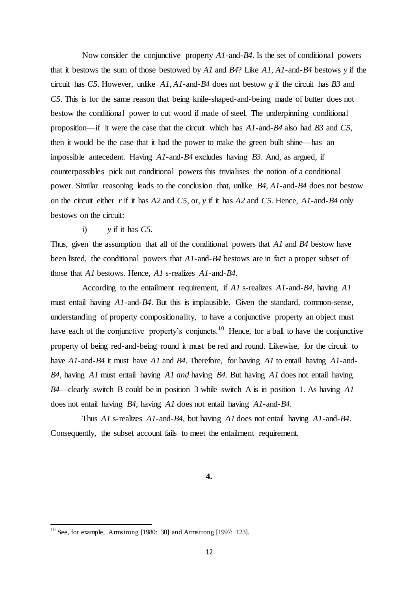Now consider the conjunctive property *A1*-and-*B4*. Is the set of conditional powers that it bestows the sum of those bestowed by *A1* and *B4*? Like *A1*, *A1*-and-*B4* bestows *y* if the circuit has *C5*. However, unlike *A1*, *A1*-and-*B4* does not bestow *g* if the circuit has *B3* and *C5*. This is for the same reason that being knife-shaped-and-being made of butter does not bestow the conditional power to cut wood if made of steel. The underpinning conditional proposition—if it were the case that the circuit which has *A1*-and-*B4* also had *B3* and *C5*, then it would be the case that it had the power to make the green bulb shine—has an impossible antecedent. Having *A1*-and-*B4* excludes having *B3*. And, as argued, if counterpossibles pick out conditional powers this trivialises the notion of a conditional power. Similar reasoning leads to the conclusion that, unlike *B4*, *A1*-and-*B4* does not bestow on the circuit either *r* if it has *A2* and *C5*, or, *y* if it has *A2* and *C5*. Hence, *A1*-and-*B4* only bestows on the circuit:

i)  $y$  if it has  $C5$ .

Thus, given the assumption that all of the conditional powers that *A1* and *B4* bestow have been listed, the conditional powers that *A1*-and-*B4* bestows are in fact a proper subset of those that *A1* bestows. Hence, *A1* s-realizes *A1*-and-*B4*.

According to the entailment requirement, if *A1* s-realizes *A1*-and-*B4*, having *A1* must entail having *A1*-and-*B4*. But this is implausible. Given the standard, common-sense, understanding of property compositionality, to have a conjunctive property an object must have each of the conjunctive property's conjuncts.<sup>10</sup> Hence, for a ball to have the conjunctive property of being red-and-being round it must be red and round. Likewise, for the circuit to have *A1*-and-*B4* it must have *A1* and *B4*. Therefore, for having *A1* to entail having *A1*-and-*B4*, having *A1* must entail having *A1 and* having *B4*. But having *A1* does not entail having *B4*—clearly switch B could be in position 3 while switch A is in position 1. As having *A1* does not entail having *B4*, having *A1* does not entail having *A1*-and-*B4*.

Thus *A1* s-realizes *A1*-and-*B4*, but having *A1* does not entail having *A1*-and-*B4*. Consequently, the subset account fails to meet the entailment requirement.

**4.**

 $\overline{a}$ 

 $10$  See, for example, Armstrong [1980: 30] and Armstrong [1997: 123].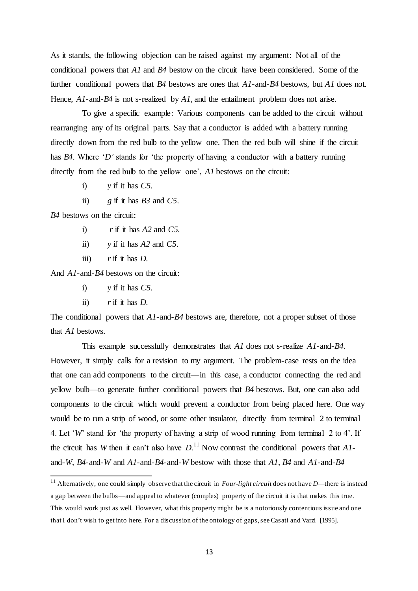As it stands, the following objection can be raised against my argument: Not all of the conditional powers that *A1* and *B4* bestow on the circuit have been considered. Some of the further conditional powers that *B4* bestows are ones that *A1*-and-*B4* bestows, but *A1* does not. Hence, *A1*-and-*B4* is not s-realized by *A1*, and the entailment problem does not arise.

To give a specific example: Various components can be added to the circuit without rearranging any of its original parts. Say that a conductor is added with a battery running directly down from the red bulb to the yellow one. Then the red bulb will shine if the circuit has *B4*. Where '*D'* stands for 'the property of having a conductor with a battery running directly from the red bulb to the yellow one', *A1* bestows on the circuit:

- i) *y* if it has *C5.*
- ii)  $g$  if it has  $B3$  and  $C5$ .

*B4* bestows on the circuit:

 $\overline{a}$ 

- i) *r* if it has *A2* and *C5.*
- ii)  $y$  if it has  $A2$  and  $C5$ .
- iii)  $r$  if it has  $D$ .

And *A1*-and-*B4* bestows on the circuit:

- i) *y* if it has *C5.*
- ii) *r* if it has *D*.

The conditional powers that *A1*-and-*B4* bestows are, therefore, not a proper subset of those that *A1* bestows.

This example successfully demonstrates that *A1* does not s-realize *A1*-and-*B4*. However, it simply calls for a revision to my argument. The problem-case rests on the idea that one can add components to the circuit—in this case, a conductor connecting the red and yellow bulb—to generate further conditional powers that *B4* bestows. But, one can also add components to the circuit which would prevent a conductor from being placed here. One way would be to run a strip of wood, or some other insulator, directly from terminal 2 to terminal 4. Let '*W*' stand for 'the property of having a strip of wood running from terminal 2 to 4'. If the circuit has *W* then it can't also have  $D^{11}$ . Now contrast the conditional powers that *A1*and-*W*, *B4*-and-*W* and *A1*-and-*B4*-and-*W* bestow with those that *A1*, *B4* and *A1*-and-*B4*

<sup>&</sup>lt;sup>11</sup> Alternatively, one could simply observe that the circuit in *Four-light circuit* does not have *D*—there is instead a gap between the bulbs—and appeal to whatever (complex) property of the circuit it is that makes this true. This would work just as well. However, what this property might be is a notoriously contentious issue and one that I don't wish to get into here. For a discussion of the ontology of gaps, see Casati and Varzi [1995].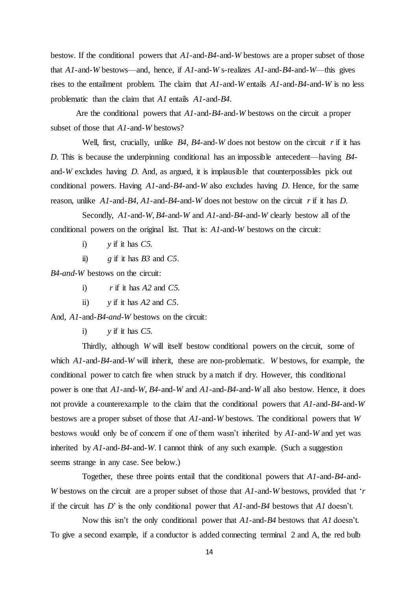bestow. If the conditional powers that *A1*-and-*B4*-and-*W* bestows are a proper subset of those that *A1*-and-*W* bestows—and, hence, if *A1*-and-*W* s-realizes *A1*-and-*B4*-and-*W*—this gives rises to the entailment problem. The claim that *A1*-and-*W* entails *A1*-and-*B4*-and-*W* is no less problematic than the claim that *A1* entails *A1*-and-*B4*.

Are the conditional powers that *A1*-and-*B4*-and-*W* bestows on the circuit a proper subset of those that *A1*-and-*W* bestows?

Well, first, crucially, unlike *B4*, *B4*-and-*W* does not bestow on the circuit *r* if it has *D*. This is because the underpinning conditional has an impossible antecedent—having *B4* and-*W* excludes having *D*. And, as argued, it is implausible that counterpossibles pick out conditional powers. Having *A1*-and-*B4*-and-*W* also excludes having *D*. Hence, for the same reason, unlike *A1*-and-*B4*, *A1*-and-*B4*-and-*W* does not bestow on the circuit *r* if it has *D*.

Secondly, *A1*-and-*W*, *B4*-and-*W* and *A1*-and-*B4*-and-*W* clearly bestow all of the conditional powers on the original list. That is: *A1-*and*-W* bestows on the circuit:

i)  $y$  if it has  $C5$ .

ii)  $g$  if it has  $B3$  and  $C5$ .

*B4-and-W* bestows on the circuit:

- i) *r* if it has *A2* and *C5.*
- ii) *y* if it has *A2* and *C5*.

And, *A1*-and-*B4-and-W* bestows on the circuit:

i)  $y$  if it has  $C5$ .

Thirdly, although *W* will itself bestow conditional powers on the circuit, some of which *A1*-and-*B4*-and-*W* will inherit, these are non-problematic. *W* bestows, for example, the conditional power to catch fire when struck by a match if dry. However, this conditional power is one that *A1*-and-*W*, *B4*-and-*W* and *A1*-and-*B4*-and-*W* all also bestow. Hence, it does not provide a counterexample to the claim that the conditional powers that *A1*-and-*B4*-and-*W* bestows are a proper subset of those that *A1*-and-*W* bestows. The conditional powers that *W* bestows would only be of concern if one of them wasn't inherited by *A1*-and-*W* and yet was inherited by *A1*-and-*B4*-and-*W*. I cannot think of any such example. (Such a suggestion seems strange in any case. See below.)

Together, these three points entail that the conditional powers that *A1*-and-*B4*-and-*W* bestows on the circuit are a proper subset of those that *A1*-and-*W* bestows, provided that '*r* if the circuit has *D*' is the only conditional power that *A1*-and-*B4* bestows that *A1* doesn't.

Now this isn't the only conditional power that *A1*-and-*B4* bestows that *A1* doesn't. To give a second example, if a conductor is added connecting terminal 2 and A, the red bulb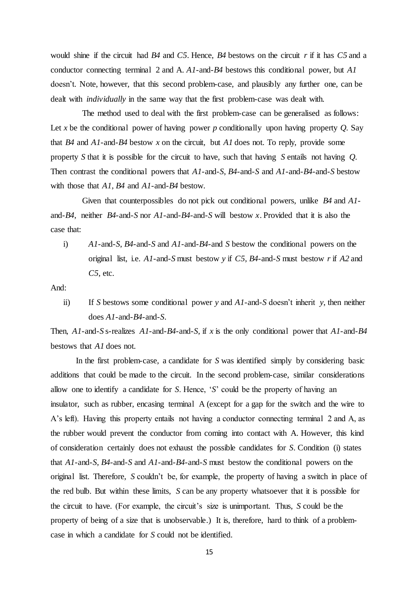would shine if the circuit had *B4* and *C5*. Hence, *B4* bestows on the circuit *r* if it has *C5* and a conductor connecting terminal 2 and A. *A1*-and-*B4* bestows this conditional power, but *A1* doesn't. Note, however, that this second problem-case, and plausibly any further one, can be dealt with *individually* in the same way that the first problem-case was dealt with.

The method used to deal with the first problem-case can be generalised as follows: Let *x* be the conditional power of having power *p* conditionally upon having property *Q*. Say that *B4* and *A1*-and-*B4* bestow *x* on the circuit*,* but *A1* does not. To reply, provide some property *S* that it is possible for the circuit to have, such that having *S* entails not having *Q*. Then contrast the conditional powers that *A1*-and-*S*, *B4*-and-*S* and *A1*-and-*B4*-and-*S* bestow with those that *A1*, *B4* and *A1*-and-*B4* bestow.

Given that counterpossibles do not pick out conditional powers, unlike *B4* and *A1* and-*B4*, neither *B4*-and-*S* nor *A1*-and-*B4*-and-*S* will bestow *x*. Provided that it is also the case that:

i) *A1*-and-*S*, *B4*-and-*S* and *A1*-and-*B4*-and *S* bestow the conditional powers on the original list, i.e. *A1*-and-*S* must bestow *y* if *C5*, *B4*-and-*S* must bestow *r* if *A2* and *C5*, etc.

And:

ii) If *S* bestows some conditional power *y* and *A1*-and-*S* doesn't inherit *y*, then neither does *A1*-and-*B4*-and-*S*.

Then, *A1*-and-*S* s-realizes *A1*-and-*B4*-and-*S*, if *x* is the only conditional power that *A1*-and-*B4* bestows that *A1* does not.

In the first problem-case, a candidate for *S* was identified simply by considering basic additions that could be made to the circuit. In the second problem-case, similar considerations allow one to identify a candidate for *S*. Hence, *'S'* could be the property of having an insulator, such as rubber, encasing terminal A (except for a gap for the switch and the wire to A's left). Having this property entails not having a conductor connecting terminal 2 and A, as the rubber would prevent the conductor from coming into contact with A. However, this kind of consideration certainly does not exhaust the possible candidates for *S*. Condition (i) states that *A1*-and-*S*, *B4*-and-*S* and *A1*-and-*B4*-and-*S* must bestow the conditional powers on the original list. Therefore, *S* couldn't be, for example, the property of having a switch in place of the red bulb. But within these limits, *S* can be any property whatsoever that it is possible for the circuit to have. (For example, the circuit's size is unimportant. Thus, *S* could be the property of being of a size that is unobservable.) It is, therefore, hard to think of a problemcase in which a candidate for *S* could not be identified.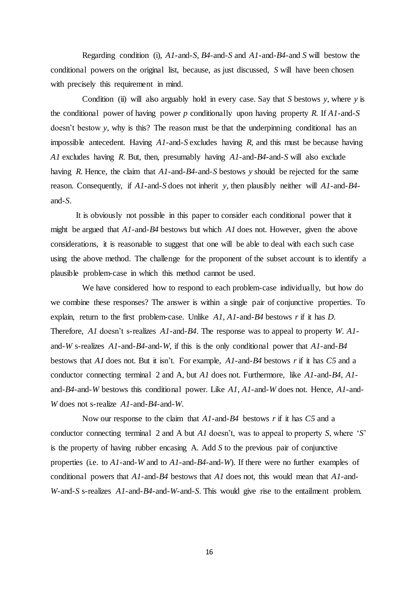Regarding condition (i), *A1*-and-*S*, *B4*-and-*S* and *A1*-and-*B4*-and *S* will bestow the conditional powers on the original list, because, as just discussed, *S* will have been chosen with precisely this requirement in mind.

Condition (ii) will also arguably hold in every case. Say that *S* bestows *y*, where *y* is the conditional power of having power *p* conditionally upon having property *R*. If *A1*-and-*S* doesn't bestow *y*, why is this? The reason must be that the underpinning conditional has an impossible antecedent. Having *A1*-and-*S* excludes having *R*, and this must be because having *A1* excludes having *R*. But, then, presumably having *A1*-and-*B4*-and-*S* will also exclude having *R*. Hence, the claim that *A1*-and-*B4*-and-*S* bestows *y* should be rejected for the same reason. Consequently, if *A1*-and-*S* does not inherit *y*, then plausibly neither will *A1*-and-*B4* and-*S*.

It is obviously not possible in this paper to consider each conditional power that it might be argued that *A1*-and-*B4* bestows but which *A1* does not. However, given the above considerations, it is reasonable to suggest that one will be able to deal with each such case using the above method. The challenge for the proponent of the subset account is to identify a plausible problem-case in which this method cannot be used.

We have considered how to respond to each problem-case individually, but how do we combine these responses? The answer is within a single pair of conjunctive properties. To explain, return to the first problem-case. Unlike *A1*, *A1*-and-*B4* bestows *r* if it has *D*. Therefore, *A1* doesn't s-realizes *A1*-and-*B4*. The response was to appeal to property *W*. *A1* and-*W* s-realizes *A1*-and-*B4*-and-*W*, if this is the only conditional power that *A1*-and-*B4* bestows that *A1* does not. But it isn't. For example, *A1*-and-*B4* bestows *r* if it has *C5* and a conductor connecting terminal 2 and A, but *A1* does not. Furthermore, like *A1*-and-*B4*, *A1* and-*B4*-and-*W* bestows this conditional power. Like *A1*, *A1*-and-*W* does not. Hence, *A1*-and-*W* does not s-realize *A1*-and-*B4*-and-*W*.

Now our response to the claim that *A1*-and-*B4* bestows *r* if it has *C5* and a conductor connecting terminal 2 and A but *A1* doesn't, was to appeal to property *S*, where '*S*' is the property of having rubber encasing A. Add *S* to the previous pair of conjunctive properties (i.e. to *A1*-and-*W* and to *A1*-and-*B4*-and-*W*). If there were no further examples of conditional powers that *A1*-and-*B4* bestows that *A1* does not, this would mean that *A1*-and-*W*-and-*S* s-realizes *A1*-and-*B4*-and-*W*-and-*S*. This would give rise to the entailment problem.

16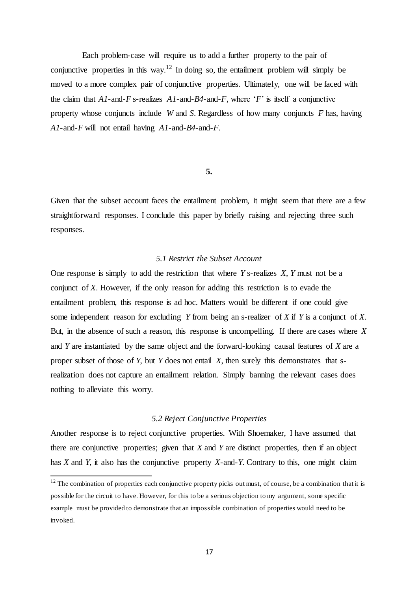Each problem-case will require us to add a further property to the pair of conjunctive properties in this way.<sup>12</sup> In doing so, the entailment problem will simply be moved to a more complex pair of conjunctive properties. Ultimately, one will be faced with the claim that  $AI$ -and- $F$  s-realizes  $AI$ -and- $B4$ -and- $F$ , where  $F'$  is itself a conjunctive property whose conjuncts include *W* and *S*. Regardless of how many conjuncts *F* has, having *A1*-and-*F* will not entail having *A1*-and-*B4*-and-*F*.

#### **5.**

Given that the subset account faces the entailment problem, it might seem that there are a few straightforward responses. I conclude this paper by briefly raising and rejecting three such responses.

## *5.1 Restrict the Subset Account*

One response is simply to add the restriction that where *Y* s-realizes *X*, *Y* must not be a conjunct of *X*. However, if the only reason for adding this restriction is to evade the entailment problem, this response is ad hoc. Matters would be different if one could give some independent reason for excluding *Y* from being an s-realizer of *X* if *Y* is a conjunct of *X*. But, in the absence of such a reason, this response is uncompelling. If there are cases where *X* and *Y* are instantiated by the same object and the forward-looking causal features of *X* are a proper subset of those of *Y*, but *Y* does not entail *X*, then surely this demonstrates that srealization does not capture an entailment relation. Simply banning the relevant cases does nothing to alleviate this worry.

# *5.2 Reject Conjunctive Properties*

Another response is to reject conjunctive properties. With Shoemaker, I have assumed that there are conjunctive properties; given that *X* and *Y* are distinct properties, then if an object has *X* and *Y*, it also has the conjunctive property *X*-and-*Y*. Contrary to this, one might claim

 $\overline{a}$ 

 $12$  The combination of properties each conjunctive property picks out must, of course, be a combination that it is possible for the circuit to have. However, for this to be a serious objection to my argument, some specific example must be provided to demonstrate that an impossible combination of properties would need to be invoked.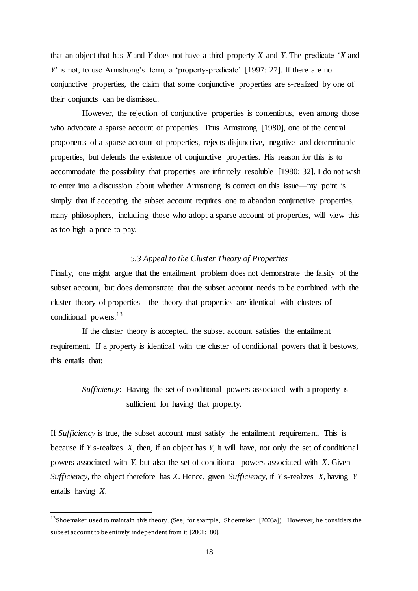that an object that has *X* and *Y* does not have a third property *X*-and-*Y*. The predicate '*X* and *Y* is not, to use Armstrong's term, a 'property-predicate' [1997: 27]. If there are no conjunctive properties, the claim that some conjunctive properties are s-realized by one of their conjuncts can be dismissed.

However, the rejection of conjunctive properties is contentious, even among those who advocate a sparse account of properties. Thus Armstrong [1980], one of the central proponents of a sparse account of properties, rejects disjunctive, negative and determinable properties, but defends the existence of conjunctive properties. His reason for this is to accommodate the possibility that properties are infinitely resoluble [1980: 32]. I do not wish to enter into a discussion about whether Armstrong is correct on this issue—my point is simply that if accepting the subset account requires one to abandon conjunctive properties, many philosophers, including those who adopt a sparse account of properties, will view this as too high a price to pay.

#### *5.3 Appeal to the Cluster Theory of Properties*

Finally, one might argue that the entailment problem does not demonstrate the falsity of the subset account, but does demonstrate that the subset account needs to be combined with the cluster theory of properties—the theory that properties are identical with clusters of conditional powers.<sup>13</sup>

If the cluster theory is accepted, the subset account satisfies the entailment requirement. If a property is identical with the cluster of conditional powers that it bestows, this entails that:

> *Sufficiency*: Having the set of conditional powers associated with a property is sufficient for having that property.

If *Sufficiency* is true, the subset account must satisfy the entailment requirement. This is because if *Y* s-realizes *X*, then, if an object has *Y*, it will have, not only the set of conditional powers associated with *Y*, but also the set of conditional powers associated with *X*. Given *Sufficiency*, the object therefore has *X*. Hence, given *Sufficiency*, if *Y* s-realizes *X*, having *Y* entails having *X*.

 $\overline{a}$ 

<sup>&</sup>lt;sup>13</sup>Shoemaker used to maintain this theory. (See, for example, Shoemaker [2003a]). However, he considers the subset account to be entirely independent from it [2001: 80].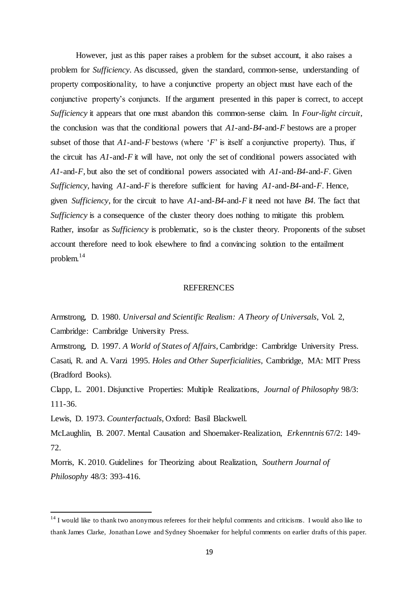However, just as this paper raises a problem for the subset account, it also raises a problem for *Sufficiency*. As discussed, given the standard, common-sense, understanding of property compositionality, to have a conjunctive property an object must have each of the conjunctive property's conjuncts. If the argument presented in this paper is correct, to accept *Sufficiency* it appears that one must abandon this common-sense claim. In *Four-light circuit*, the conclusion was that the conditional powers that *A1*-and-*B4*-and-*F* bestows are a proper subset of those that  $A1$ -and- $F$  bestows (where  $F'$  is itself a conjunctive property). Thus, if the circuit has *A1*-and-*F* it will have, not only the set of conditional powers associated with *A1*-and-*F*, but also the set of conditional powers associated with *A1*-and-*B4*-and-*F*. Given *Sufficiency*, having *A1*-and-*F* is therefore sufficient for having *A1*-and-*B4*-and-*F*. Hence, given *Sufficiency*, for the circuit to have *A1*-and-*B4*-and-*F* it need not have *B4*. The fact that *Sufficiency* is a consequence of the cluster theory does nothing to mitigate this problem. Rather, insofar as *Sufficiency* is problematic, so is the cluster theory. Proponents of the subset account therefore need to look elsewhere to find a convincing solution to the entailment problem. $14$ 

#### **REFERENCES**

Armstrong, D. 1980. *Universal and Scientific Realism: A Theory of Universals*, Vol. 2, Cambridge: Cambridge University Press.

Armstrong, D. 1997. *A World of States of Affairs*, Cambridge: Cambridge University Press. Casati, R. and A. Varzi 1995. *Holes and Other Superficialities*, Cambridge, MA: MIT Press (Bradford Books).

[Clapp,](http://philpapers.org/autosense.pl?searchStr=Leonard%20J.%20Clapp) L. 2001. Disjunctive Properties: Multiple Realizations, *Journal of Philosophy* 98/3: 111-36.

Lewis, D. 1973. *Counterfactuals*, Oxford: Basil Blackwell.

 $\overline{a}$ 

McLaughlin, B. 2007. Mental Causation and Shoemaker-Realization, *Erkenntnis* 67/2: 149- 72.

Morris, K. 2010. Guidelines for Theorizing about Realization, *Southern Journal of Philosophy* 48/3: 393-416.

 $14$  I would like to thank two anonymous referees for their helpful comments and criticisms. I would also like to thank James Clarke, Jonathan Lowe and Sydney Shoemaker for helpful comments on earlier drafts of this paper.